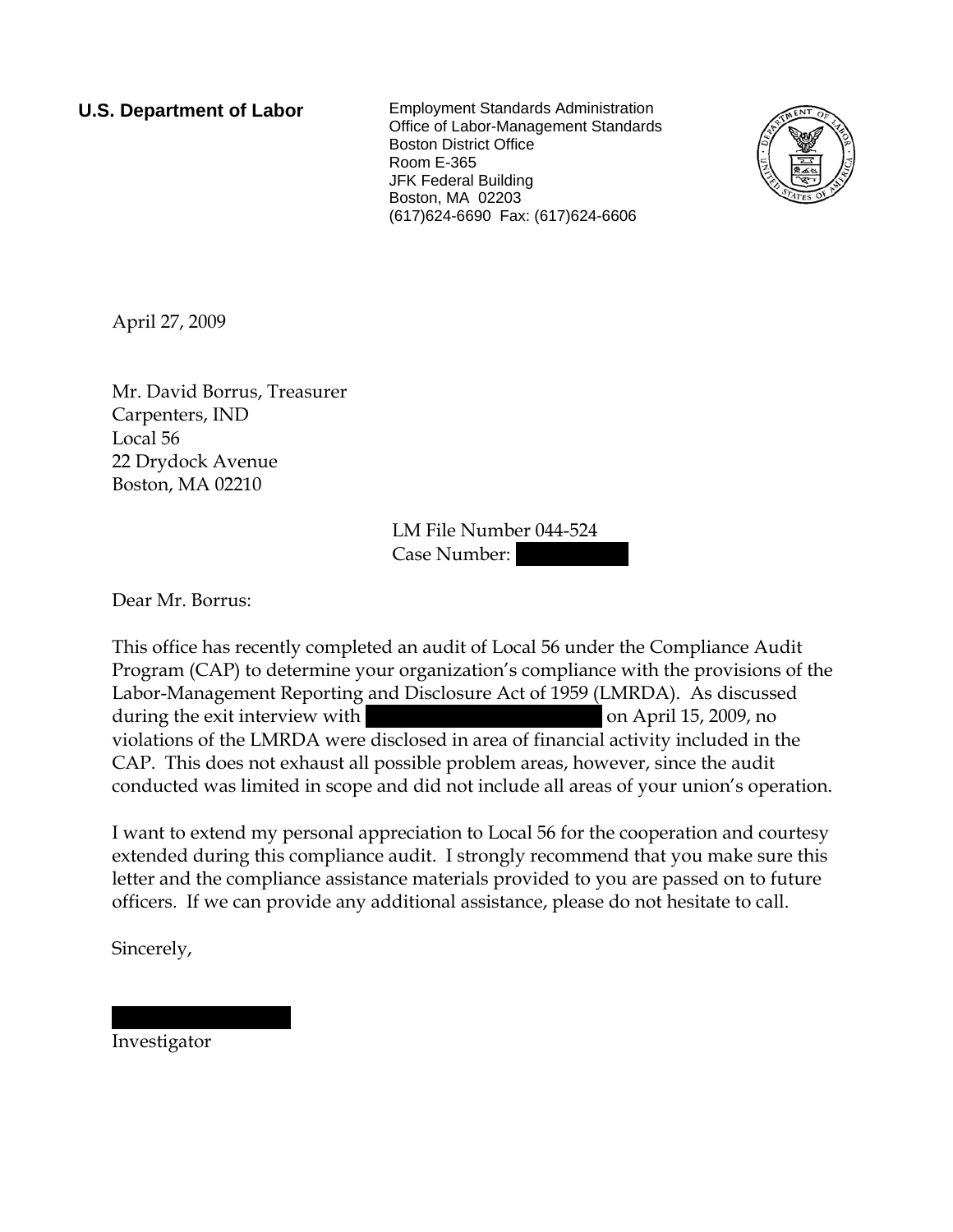**U.S. Department of Labor** Employment Standards Administration Office of Labor-Management Standards Boston District Office Room E-365 JFK Federal Building Boston, MA 02203 (617)624-6690 Fax: (617)624-6606



April 27, 2009

Mr. David Borrus, Treasurer Carpenters, IND Local 56 22 Drydock Avenue Boston, MA 02210

> LM File Number 044-524 Case Number:

Dear Mr. Borrus:

This office has recently completed an audit of Local 56 under the Compliance Audit Program (CAP) to determine your organization's compliance with the provisions of the Labor-Management Reporting and Disclosure Act of 1959 (LMRDA). As discussed during the exit interview with  $\frac{1}{2}$  on April 15, 2009, no violations of the LMRDA were disclosed in area of financial activity included in the CAP. This does not exhaust all possible problem areas, however, since the audit conducted was limited in scope and did not include all areas of your union's operation.

I want to extend my personal appreciation to Local 56 for the cooperation and courtesy extended during this compliance audit. I strongly recommend that you make sure this letter and the compliance assistance materials provided to you are passed on to future officers. If we can provide any additional assistance, please do not hesitate to call.

Sincerely,

Investigator

|||||| | ||||||||